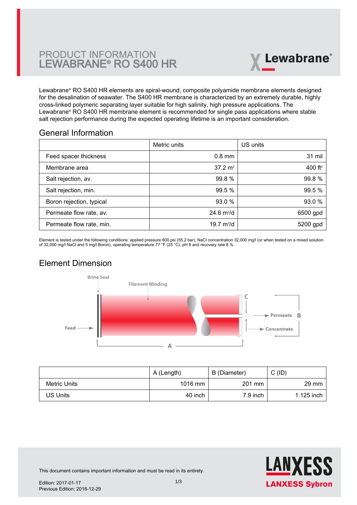# PRODUCT INFORMATION LEWABRANE® RO S400 HR



Lewabrane® RO S400 HR elements are spiral-wound, composite polyamide membrane elements designed [for the desalination of seawater. The S400 HR membrane is characterized by an extremely durable, highly](https://www.pureaqua.com/lanxess-lewabrane-s400-hr-membrane/) cross-linked polymeric separating layer suitable for high salinity, high pressure applications. The Lewabrane® RO S400 HR membrane element is recommended for single pass applications where stable salt rejection performance during the expected operating lifetime is an important consideration.

## General Information

|                          | Metric units                | US units   |
|--------------------------|-----------------------------|------------|
| Feed spacer thickness    | $0.8$ mm                    | 31 mil     |
| Membrane area            | $37.2 \text{ m}^2$          | 400 $ft^2$ |
| Salt rejection, av.      | 99.8%                       | 99.8 %     |
| Salt rejection, min.     | 99.5 %                      | 99.5 %     |
| Boron rejection, typical | 93.0 %                      | 93.0%      |
| Permeate flow rate, av.  | $24.6 \text{ m}^3/\text{d}$ | 6500 gpd   |
| Permeate flow rate, min. | 19.7 $m^3/d$                | 5200 gpd   |

Element is tested under the following conditions: applied pressure 800 psi (55.2 bar), NaCl concentration 32,000 mg/l (or when tested on a mixed solution of 32,000 mg/l NaCl and 5 mg/l Boron), operating temperature 77 °F (25 °C), pH 8 and recovery rate 8 %.

# Element Dimension



|              | A (Length) | B (Diameter) | $C$ (ID)        |
|--------------|------------|--------------|-----------------|
| Metric Units | 1016 mm    | 201 mm       | $29 \text{ mm}$ |
| US Units     | 40 inch    | $7.9$ inch   | 1.125 inch      |



This document contains important information and must be read in its entirety.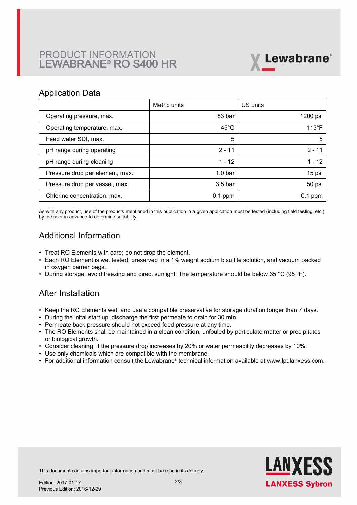# PRODUCT INFORMATION LEWABRANE® RO S400 HR



### Application Data

|                                 | Metric units       | US units       |
|---------------------------------|--------------------|----------------|
| Operating pressure, max.        | 83 bar             | 1200 psi       |
| Operating temperature, max.     | $45^{\circ}$ C     | $113^{\circ}F$ |
| Feed water SDI, max.            | 5                  | 5              |
| pH range during operating       | $2 - 11$           | $2 - 11$       |
| pH range during cleaning        | $1 - 12$           | $1 - 12$       |
| Pressure drop per element, max. | 1.0 <sub>bar</sub> | 15 psi         |
| Pressure drop per vessel, max.  | 3.5 <sub>bar</sub> | 50 psi         |
| Chlorine concentration, max.    | $0.1$ ppm          | $0.1$ ppm      |

As with any product, use of the products mentioned in this publication in a given application must be tested (including field testing, etc.) by the user in advance to determine suitability.

# Additional Information

- Treat RO Elements with care; do not drop the element.
- Each RO Element is wet tested, preserved in a 1% weight sodium bisulfite solution, and vacuum packed in oxygen barrier bags.
- During storage, avoid freezing and direct sunlight. The temperature should be below 35 °C (95 °F).

## After Installation

- Keep the RO Elements wet, and use a compatible preservative for storage duration longer than 7 days.
- During the inital start up, discharge the first permeate to drain for 30 min.
- Permeate back pressure should not exceed feed pressure at any time.
- The RO Elements shall be maintained in a clean condition, unfouled by particulate matter or precipitates or biological growth.
- Consider cleaning, if the pressure drop increases by 20% or water permeability decreases by 10%.
- Use only chemicals which are compatible with the membrane.
- For additional information consult the Lewabrane® technical information available at www.lpt.lanxess.com.



This document contains important information and must be read in its entirety.